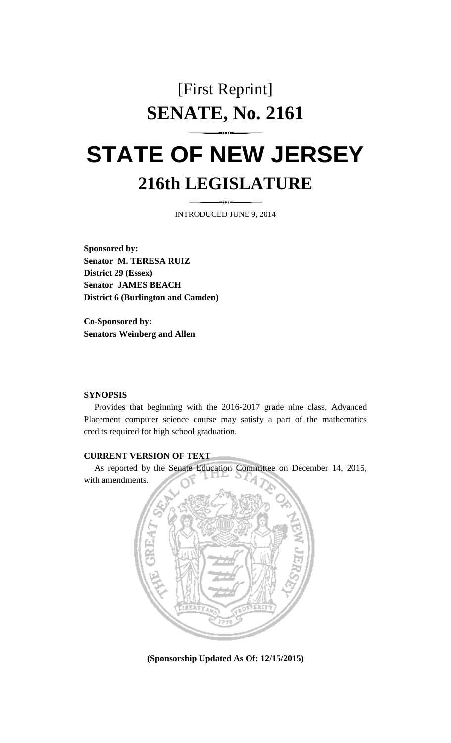## [First Reprint] **SENATE, No. 2161**

## **STATE OF NEW JERSEY 216th LEGISLATURE**

INTRODUCED JUNE 9, 2014

**Sponsored by: Senator M. TERESA RUIZ District 29 (Essex) Senator JAMES BEACH District 6 (Burlington and Camden)**

**Co-Sponsored by: Senators Weinberg and Allen**

## **SYNOPSIS**

Provides that beginning with the 2016-2017 grade nine class, Advanced Placement computer science course may satisfy a part of the mathematics credits required for high school graduation.

## **CURRENT VERSION OF TEXT**

As reported by the Senate Education Committee on December 14, 2015, with amendments.



**(Sponsorship Updated As Of: 12/15/2015)**